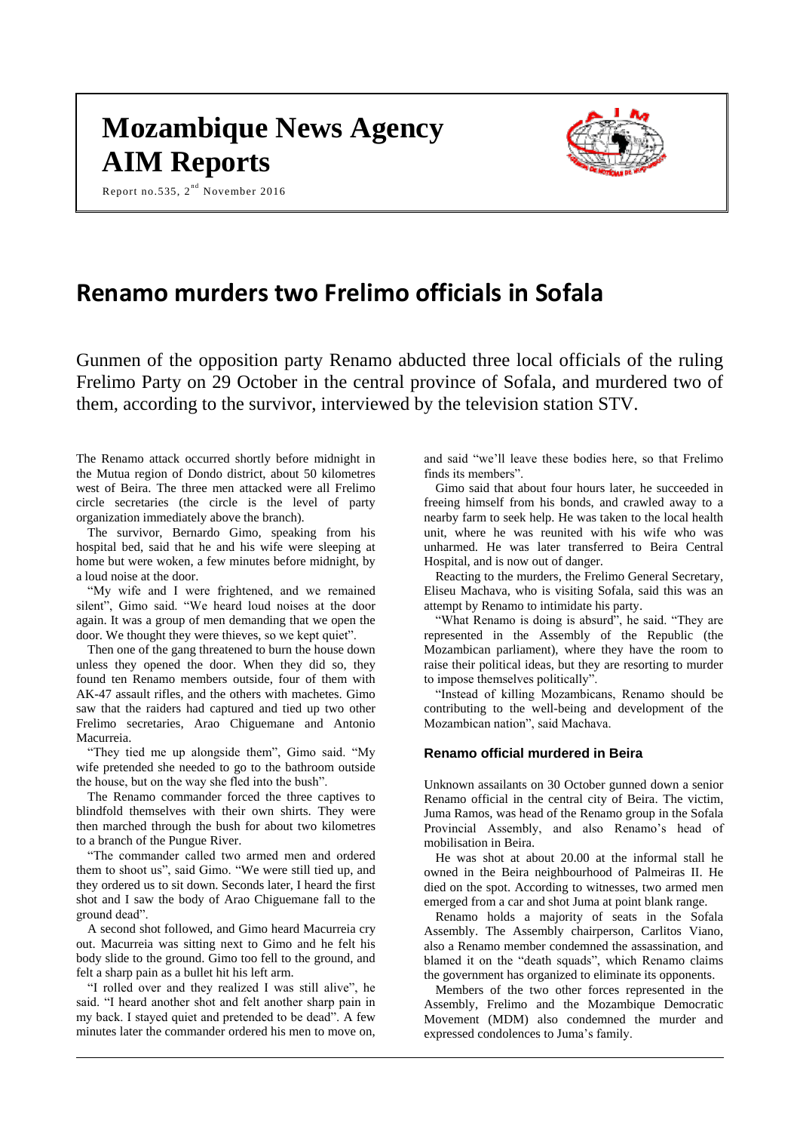# **Mozambique News Agency AIM Reports**

Report no.535,  $2^{nd}$  November 2016



# **Renamo murders two Frelimo officials in Sofala**

Gunmen of the opposition party Renamo abducted three local officials of the ruling Frelimo Party on 29 October in the central province of Sofala, and murdered two of them, according to the survivor, interviewed by the television station STV.

The Renamo attack occurred shortly before midnight in the Mutua region of Dondo district, about 50 kilometres west of Beira. The three men attacked were all Frelimo circle secretaries (the circle is the level of party organization immediately above the branch).

The survivor, Bernardo Gimo, speaking from his hospital bed, said that he and his wife were sleeping at home but were woken, a few minutes before midnight, by a loud noise at the door.

"My wife and I were frightened, and we remained silent", Gimo said. "We heard loud noises at the door again. It was a group of men demanding that we open the door. We thought they were thieves, so we kept quiet".

Then one of the gang threatened to burn the house down unless they opened the door. When they did so, they found ten Renamo members outside, four of them with AK-47 assault rifles, and the others with machetes. Gimo saw that the raiders had captured and tied up two other Frelimo secretaries, Arao Chiguemane and Antonio Macurreia.

"They tied me up alongside them", Gimo said. "My wife pretended she needed to go to the bathroom outside the house, but on the way she fled into the bush".

The Renamo commander forced the three captives to blindfold themselves with their own shirts. They were then marched through the bush for about two kilometres to a branch of the Pungue River.

"The commander called two armed men and ordered them to shoot us", said Gimo. "We were still tied up, and they ordered us to sit down. Seconds later, I heard the first shot and I saw the body of Arao Chiguemane fall to the ground dead".

A second shot followed, and Gimo heard Macurreia cry out. Macurreia was sitting next to Gimo and he felt his body slide to the ground. Gimo too fell to the ground, and felt a sharp pain as a bullet hit his left arm.

"I rolled over and they realized I was still alive", he said. "I heard another shot and felt another sharp pain in my back. I stayed quiet and pretended to be dead". A few minutes later the commander ordered his men to move on,

and said "we'll leave these bodies here, so that Frelimo finds its members".

Gimo said that about four hours later, he succeeded in freeing himself from his bonds, and crawled away to a nearby farm to seek help. He was taken to the local health unit, where he was reunited with his wife who was unharmed. He was later transferred to Beira Central Hospital, and is now out of danger.

Reacting to the murders, the Frelimo General Secretary, Eliseu Machava, who is visiting Sofala, said this was an attempt by Renamo to intimidate his party.

"What Renamo is doing is absurd", he said. "They are represented in the Assembly of the Republic (the Mozambican parliament), where they have the room to raise their political ideas, but they are resorting to murder to impose themselves politically".

"Instead of killing Mozambicans, Renamo should be contributing to the well-being and development of the Mozambican nation", said Machava.

#### **Renamo official murdered in Beira**

Unknown assailants on 30 October gunned down a senior Renamo official in the central city of Beira. The victim, Juma Ramos, was head of the Renamo group in the Sofala Provincial Assembly, and also Renamo's head of mobilisation in Beira.

He was shot at about 20.00 at the informal stall he owned in the Beira neighbourhood of Palmeiras II. He died on the spot. According to witnesses, two armed men emerged from a car and shot Juma at point blank range.

Renamo holds a majority of seats in the Sofala Assembly. The Assembly chairperson, Carlitos Viano, also a Renamo member condemned the assassination, and blamed it on the "death squads", which Renamo claims the government has organized to eliminate its opponents.

Members of the two other forces represented in the Assembly, Frelimo and the Mozambique Democratic Movement (MDM) also condemned the murder and expressed condolences to Juma's family.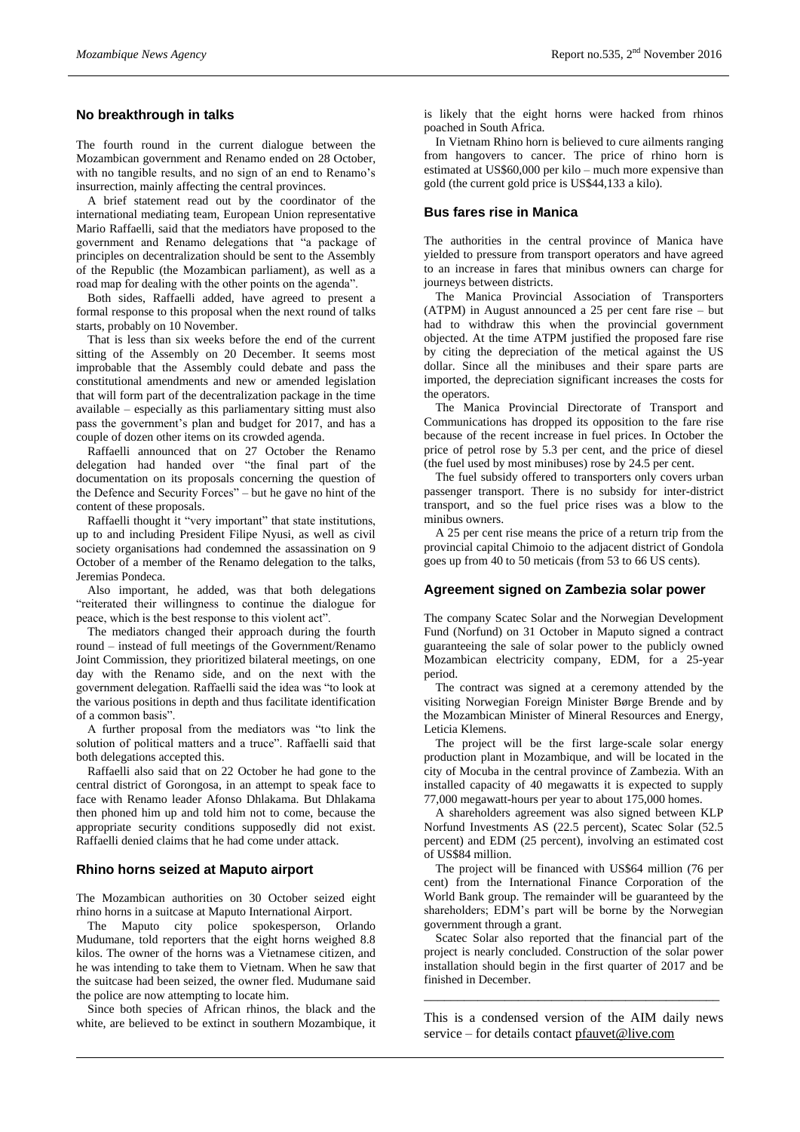#### **No breakthrough in talks**

The fourth round in the current dialogue between the Mozambican government and Renamo ended on 28 October, with no tangible results, and no sign of an end to Renamo's insurrection, mainly affecting the central provinces.

A brief statement read out by the coordinator of the international mediating team, European Union representative Mario Raffaelli, said that the mediators have proposed to the government and Renamo delegations that "a package of principles on decentralization should be sent to the Assembly of the Republic (the Mozambican parliament), as well as a road map for dealing with the other points on the agenda".

Both sides, Raffaelli added, have agreed to present a formal response to this proposal when the next round of talks starts, probably on 10 November.

That is less than six weeks before the end of the current sitting of the Assembly on 20 December. It seems most improbable that the Assembly could debate and pass the constitutional amendments and new or amended legislation that will form part of the decentralization package in the time available – especially as this parliamentary sitting must also pass the government's plan and budget for 2017, and has a couple of dozen other items on its crowded agenda.

Raffaelli announced that on 27 October the Renamo delegation had handed over "the final part of the documentation on its proposals concerning the question of the Defence and Security Forces" – but he gave no hint of the content of these proposals.

Raffaelli thought it "very important" that state institutions, up to and including President Filipe Nyusi, as well as civil society organisations had condemned the assassination on 9 October of a member of the Renamo delegation to the talks, Jeremias Pondeca.

Also important, he added, was that both delegations "reiterated their willingness to continue the dialogue for peace, which is the best response to this violent act".

The mediators changed their approach during the fourth round – instead of full meetings of the Government/Renamo Joint Commission, they prioritized bilateral meetings, on one day with the Renamo side, and on the next with the government delegation. Raffaelli said the idea was "to look at the various positions in depth and thus facilitate identification of a common basis".

A further proposal from the mediators was "to link the solution of political matters and a truce". Raffaelli said that both delegations accepted this.

Raffaelli also said that on 22 October he had gone to the central district of Gorongosa, in an attempt to speak face to face with Renamo leader Afonso Dhlakama. But Dhlakama then phoned him up and told him not to come, because the appropriate security conditions supposedly did not exist. Raffaelli denied claims that he had come under attack.

#### **Rhino horns seized at Maputo airport**

The Mozambican authorities on 30 October seized eight rhino horns in a suitcase at Maputo International Airport.

The Maputo city police spokesperson, Orlando Mudumane, told reporters that the eight horns weighed 8.8 kilos. The owner of the horns was a Vietnamese citizen, and he was intending to take them to Vietnam. When he saw that the suitcase had been seized, the owner fled. Mudumane said the police are now attempting to locate him.

Since both species of African rhinos, the black and the white, are believed to be extinct in southern Mozambique, it is likely that the eight horns were hacked from rhinos poached in South Africa.

In Vietnam Rhino horn is believed to cure ailments ranging from hangovers to cancer. The price of rhino horn is estimated at US\$60,000 per kilo – much more expensive than gold (the current gold price is US\$44,133 a kilo).

# **Bus fares rise in Manica**

The authorities in the central province of Manica have yielded to pressure from transport operators and have agreed to an increase in fares that minibus owners can charge for journeys between districts.

The Manica Provincial Association of Transporters (ATPM) in August announced a 25 per cent fare rise – but had to withdraw this when the provincial government objected. At the time ATPM justified the proposed fare rise by citing the depreciation of the metical against the US dollar. Since all the minibuses and their spare parts are imported, the depreciation significant increases the costs for the operators.

The Manica Provincial Directorate of Transport and Communications has dropped its opposition to the fare rise because of the recent increase in fuel prices. In October the price of petrol rose by 5.3 per cent, and the price of diesel (the fuel used by most minibuses) rose by 24.5 per cent.

The fuel subsidy offered to transporters only covers urban passenger transport. There is no subsidy for inter-district transport, and so the fuel price rises was a blow to the minibus owners.

A 25 per cent rise means the price of a return trip from the provincial capital Chimoio to the adjacent district of Gondola goes up from 40 to 50 meticais (from 53 to 66 US cents).

#### **Agreement signed on Zambezia solar power**

The company Scatec Solar and the Norwegian Development Fund (Norfund) on 31 October in Maputo signed a contract guaranteeing the sale of solar power to the publicly owned Mozambican electricity company, EDM, for a 25-year period.

The contract was signed at a ceremony attended by the visiting Norwegian Foreign Minister Børge Brende and by the Mozambican Minister of Mineral Resources and Energy, Leticia Klemens.

The project will be the first large-scale solar energy production plant in Mozambique, and will be located in the city of Mocuba in the central province of Zambezia. With an installed capacity of 40 megawatts it is expected to supply 77,000 megawatt-hours per year to about 175,000 homes.

A shareholders agreement was also signed between KLP Norfund Investments AS (22.5 percent), Scatec Solar (52.5 percent) and EDM (25 percent), involving an estimated cost of US\$84 million.

The project will be financed with US\$64 million (76 per cent) from the International Finance Corporation of the World Bank group. The remainder will be guaranteed by the shareholders; EDM's part will be borne by the Norwegian government through a grant.

Scatec Solar also reported that the financial part of the project is nearly concluded. Construction of the solar power installation should begin in the first quarter of 2017 and be finished in December.

This is a condensed version of the AIM daily news service – for details contact [pfauvet@live.com](mailto:pfauvet@live.com)

\_\_\_\_\_\_\_\_\_\_\_\_\_\_\_\_\_\_\_\_\_\_\_\_\_\_\_\_\_\_\_\_\_\_\_\_\_\_\_\_\_\_\_\_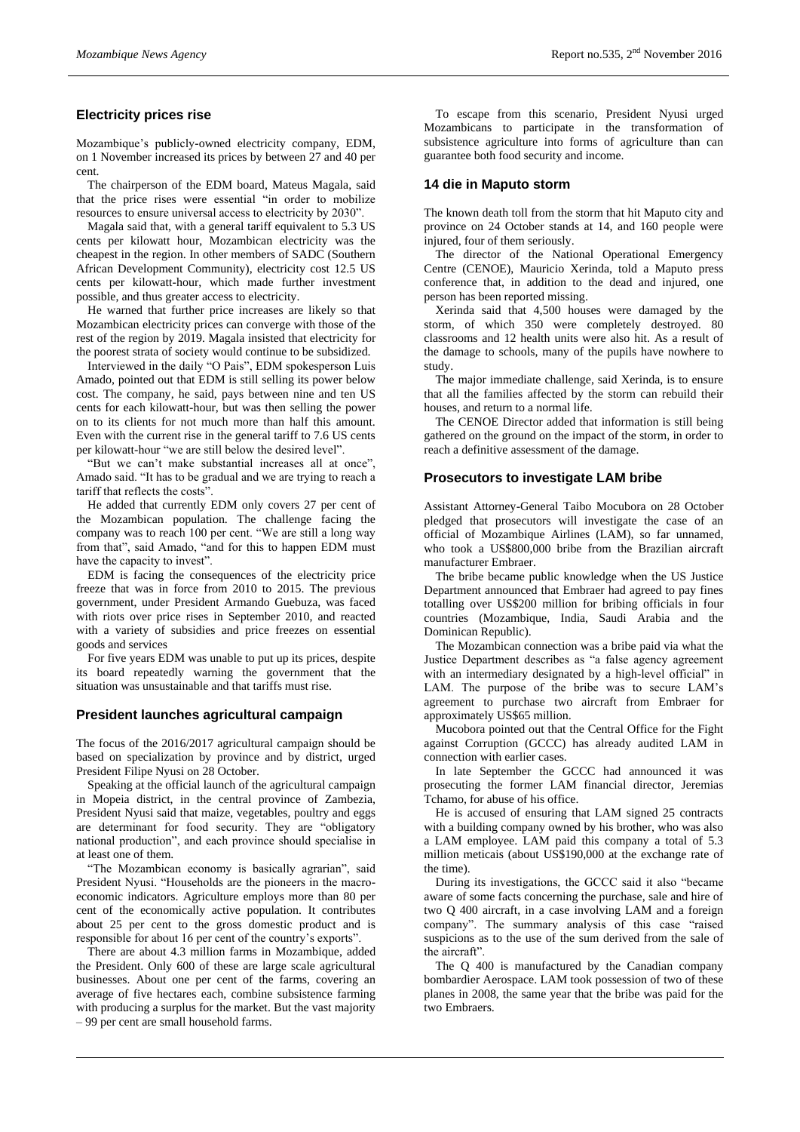# **Electricity prices rise**

Mozambique's publicly-owned electricity company, EDM, on 1 November increased its prices by between 27 and 40 per cent.

The chairperson of the EDM board, Mateus Magala, said that the price rises were essential "in order to mobilize resources to ensure universal access to electricity by 2030".

Magala said that, with a general tariff equivalent to 5.3 US cents per kilowatt hour, Mozambican electricity was the cheapest in the region. In other members of SADC (Southern African Development Community), electricity cost 12.5 US cents per kilowatt-hour, which made further investment possible, and thus greater access to electricity.

He warned that further price increases are likely so that Mozambican electricity prices can converge with those of the rest of the region by 2019. Magala insisted that electricity for the poorest strata of society would continue to be subsidized.

Interviewed in the daily "O Pais", EDM spokesperson Luis Amado, pointed out that EDM is still selling its power below cost. The company, he said, pays between nine and ten US cents for each kilowatt-hour, but was then selling the power on to its clients for not much more than half this amount. Even with the current rise in the general tariff to 7.6 US cents per kilowatt-hour "we are still below the desired level".

"But we can't make substantial increases all at once", Amado said. "It has to be gradual and we are trying to reach a tariff that reflects the costs".

He added that currently EDM only covers 27 per cent of the Mozambican population. The challenge facing the company was to reach 100 per cent. "We are still a long way from that", said Amado, "and for this to happen EDM must have the capacity to invest".

EDM is facing the consequences of the electricity price freeze that was in force from 2010 to 2015. The previous government, under President Armando Guebuza, was faced with riots over price rises in September 2010, and reacted with a variety of subsidies and price freezes on essential goods and services

For five years EDM was unable to put up its prices, despite its board repeatedly warning the government that the situation was unsustainable and that tariffs must rise.

#### **President launches agricultural campaign**

The focus of the 2016/2017 agricultural campaign should be based on specialization by province and by district, urged President Filipe Nyusi on 28 October.

Speaking at the official launch of the agricultural campaign in Mopeia district, in the central province of Zambezia, President Nyusi said that maize, vegetables, poultry and eggs are determinant for food security. They are "obligatory national production", and each province should specialise in at least one of them.

The Mozambican economy is basically agrarian", said President Nyusi. "Households are the pioneers in the macroeconomic indicators. Agriculture employs more than 80 per cent of the economically active population. It contributes about 25 per cent to the gross domestic product and is responsible for about 16 per cent of the country's exports".

There are about 4.3 million farms in Mozambique, added the President. Only 600 of these are large scale agricultural businesses. About one per cent of the farms, covering an average of five hectares each, combine subsistence farming with producing a surplus for the market. But the vast majority – 99 per cent are small household farms.

To escape from this scenario, President Nyusi urged Mozambicans to participate in the transformation of subsistence agriculture into forms of agriculture than can guarantee both food security and income.

# **14 die in Maputo storm**

The known death toll from the storm that hit Maputo city and province on 24 October stands at 14, and 160 people were injured, four of them seriously.

The director of the National Operational Emergency Centre (CENOE), Mauricio Xerinda, told a Maputo press conference that, in addition to the dead and injured, one person has been reported missing.

Xerinda said that 4,500 houses were damaged by the storm, of which 350 were completely destroyed. 80 classrooms and 12 health units were also hit. As a result of the damage to schools, many of the pupils have nowhere to study.

The major immediate challenge, said Xerinda, is to ensure that all the families affected by the storm can rebuild their houses, and return to a normal life.

The CENOE Director added that information is still being gathered on the ground on the impact of the storm, in order to reach a definitive assessment of the damage.

# **Prosecutors to investigate LAM bribe**

Assistant Attorney-General Taibo Mocubora on 28 October pledged that prosecutors will investigate the case of an official of Mozambique Airlines (LAM), so far unnamed, who took a US\$800,000 bribe from the Brazilian aircraft manufacturer Embraer.

The bribe became public knowledge when the US Justice Department announced that Embraer had agreed to pay fines totalling over US\$200 million for bribing officials in four countries (Mozambique, India, Saudi Arabia and the Dominican Republic).

The Mozambican connection was a bribe paid via what the Justice Department describes as "a false agency agreement with an intermediary designated by a high-level official" in LAM. The purpose of the bribe was to secure LAM's agreement to purchase two aircraft from Embraer for approximately US\$65 million.

Mucobora pointed out that the Central Office for the Fight against Corruption (GCCC) has already audited LAM in connection with earlier cases.

In late September the GCCC had announced it was prosecuting the former LAM financial director, Jeremias Tchamo, for abuse of his office.

He is accused of ensuring that LAM signed 25 contracts with a building company owned by his brother, who was also a LAM employee. LAM paid this company a total of 5.3 million meticais (about US\$190,000 at the exchange rate of the time).

During its investigations, the GCCC said it also "became aware of some facts concerning the purchase, sale and hire of two Q 400 aircraft, in a case involving LAM and a foreign company". The summary analysis of this case "raised suspicions as to the use of the sum derived from the sale of the aircraft".

The O 400 is manufactured by the Canadian company bombardier Aerospace. LAM took possession of two of these planes in 2008, the same year that the bribe was paid for the two Embraers.